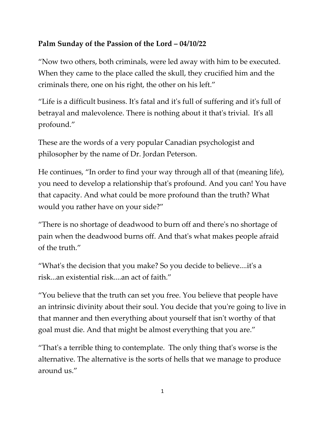## **Palm Sunday of the Passion of the Lord – 04/10/22**

"Now two others, both criminals, were led away with him to be executed. When they came to the place called the skull, they crucified him and the criminals there, one on his right, the other on his left."

"Life is a difficult business. It's fatal and it's full of suffering and it's full of betrayal and malevolence. There is nothing about it that's trivial. It's all profound."

These are the words of a very popular Canadian psychologist and philosopher by the name of Dr. Jordan Peterson.

He continues, "In order to find your way through all of that (meaning life), you need to develop a relationship that's profound. And you can! You have that capacity. And what could be more profound than the truth? What would you rather have on your side?"

"There is no shortage of deadwood to burn off and there's no shortage of pain when the deadwood burns off. And that's what makes people afraid of the truth."

"What's the decision that you make? So you decide to believe....it's a risk...an existential risk....an act of faith."

"You believe that the truth can set you free. You believe that people have an intrinsic divinity about their soul. You decide that you're going to live in that manner and then everything about yourself that isn't worthy of that goal must die. And that might be almost everything that you are."

"That's a terrible thing to contemplate. The only thing that's worse is the alternative. The alternative is the sorts of hells that we manage to produce around us."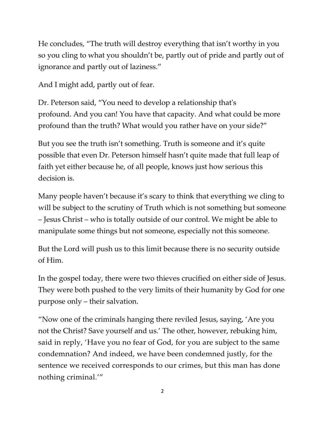He concludes, "The truth will destroy everything that isn't worthy in you so you cling to what you shouldn't be, partly out of pride and partly out of ignorance and partly out of laziness."

And I might add, partly out of fear.

Dr. Peterson said, "You need to develop a relationship that's profound. And you can! You have that capacity. And what could be more profound than the truth? What would you rather have on your side?"

But you see the truth isn't something. Truth is someone and it's quite possible that even Dr. Peterson himself hasn't quite made that full leap of faith yet either because he, of all people, knows just how serious this decision is.

Many people haven't because it's scary to think that everything we cling to will be subject to the scrutiny of Truth which is not something but someone – Jesus Christ – who is totally outside of our control. We might be able to manipulate some things but not someone, especially not this someone.

But the Lord will push us to this limit because there is no security outside of Him.

In the gospel today, there were two thieves crucified on either side of Jesus. They were both pushed to the very limits of their humanity by God for one purpose only – their salvation.

"Now one of the criminals hanging there reviled Jesus, saying, 'Are you not the Christ? Save yourself and us.' The other, however, rebuking him, said in reply, 'Have you no fear of God, for you are subject to the same condemnation? And indeed, we have been condemned justly, for the sentence we received corresponds to our crimes, but this man has done nothing criminal.'"